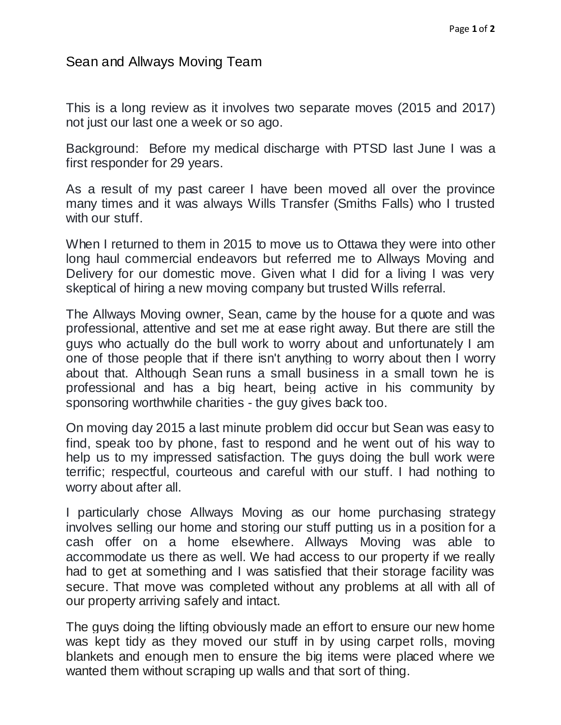## Sean and Allways Moving Team

This is a long review as it involves two separate moves (2015 and 2017) not just our last one a week or so ago.

Background: Before my medical discharge with PTSD last June I was a first responder for 29 years.

As a result of my past career I have been moved all over the province many times and it was always Wills Transfer (Smiths Falls) who I trusted with our stuff.

When I returned to them in 2015 to move us to Ottawa they were into other long haul commercial endeavors but referred me to Allways Moving and Delivery for our domestic move. Given what I did for a living I was very skeptical of hiring a new moving company but trusted Wills referral.

The Allways Moving owner, Sean, came by the house for a quote and was professional, attentive and set me at ease right away. But there are still the guys who actually do the bull work to worry about and unfortunately I am one of those people that if there isn't anything to worry about then I worry about that. Although Sean runs a small business in a small town he is professional and has a big heart, being active in his community by sponsoring worthwhile charities - the guy gives back too.

On moving day 2015 a last minute problem did occur but Sean was easy to find, speak too by phone, fast to respond and he went out of his way to help us to my impressed satisfaction. The guys doing the bull work were terrific; respectful, courteous and careful with our stuff. I had nothing to worry about after all.

I particularly chose Allways Moving as our home purchasing strategy involves selling our home and storing our stuff putting us in a position for a cash offer on a home elsewhere. Allways Moving was able to accommodate us there as well. We had access to our property if we really had to get at something and I was satisfied that their storage facility was secure. That move was completed without any problems at all with all of our property arriving safely and intact.

The guys doing the lifting obviously made an effort to ensure our new home was kept tidy as they moved our stuff in by using carpet rolls, moving blankets and enough men to ensure the big items were placed where we wanted them without scraping up walls and that sort of thing.